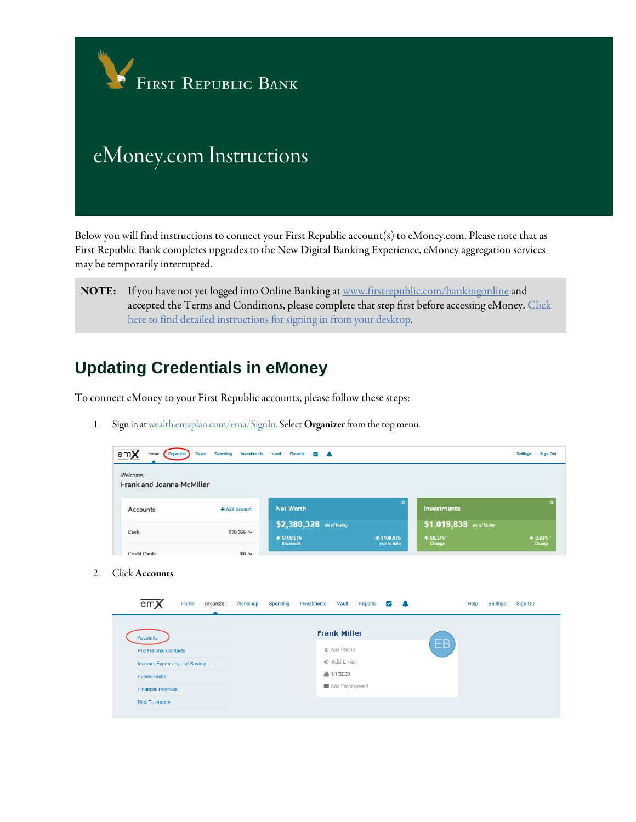

Below you will find instructions to connect your First Republic account(s) to eMoney.com. Please note that as First Republic Bank completes upgrades to the New Digital Banking Experience, eMoney aggregation services may be temporarily interrupted.

NOTE: If you have not yet logged into Online Banking a[t www.firstrepublic.com/bankingonline](http://www.firstrepublic.com/bankingonline) and accepted the Terms and Conditions, please complete that step first before accessing eMoney. Click [here to find detailed instructions for signing in from your desktop.](https://www.firstrepublic.com/digitalbanking/firsttimedesktopsignin)

#### **Updating Credentials in eMoney**

To connect eMoney to your First Republic accounts, please follow these steps:

1. Sign in a[t wealth.emaplan.com/ema/SignIn.](http://wealth.emaplan.com/ema/SignIn) Select **Organizer** from the top menu.

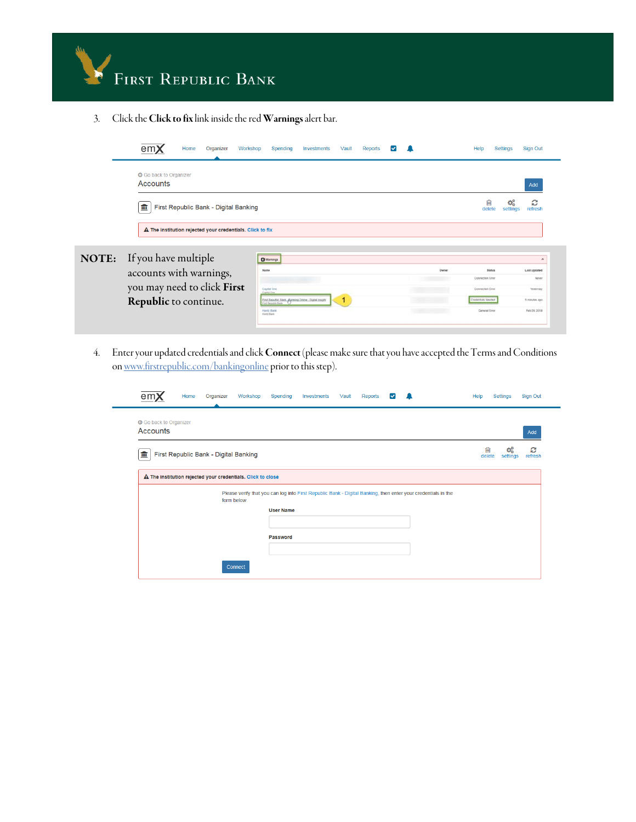

3. Click the Click to fix link inside the red Warnings alert bar.



4. Enter your updated credentials and click Connect (please make sure that you have accepted the Terms and Conditions o[n www.firstrepublic.com/bankingonline](http://www.firstrepublic.com/bankingonline) prior to this step).

| Home<br>Organizer                                           | Workshop<br>Spending                                                                                                                             | Investments<br>Vault | Reports<br>V | Help        | Settings      | Sign Out     |
|-------------------------------------------------------------|--------------------------------------------------------------------------------------------------------------------------------------------------|----------------------|--------------|-------------|---------------|--------------|
| <b>G</b> Go back to Organizer<br><b>Accounts</b>            |                                                                                                                                                  |                      |              |             |               | Add          |
| First Republic Bank - Digital Banking<br>皿                  |                                                                                                                                                  |                      |              | 圙<br>delete | œ<br>settings | ø<br>refresh |
| A The institution rejected your credentials. Click to close |                                                                                                                                                  |                      |              |             |               |              |
|                                                             | Please verify that you can log into First Republic Bank - Digital Banking, then enter your credentials in the<br>form below.<br><b>User Name</b> |                      |              |             |               |              |
|                                                             | Password                                                                                                                                         |                      |              |             |               |              |
|                                                             |                                                                                                                                                  |                      |              |             |               |              |
|                                                             | Connect                                                                                                                                          |                      |              |             |               |              |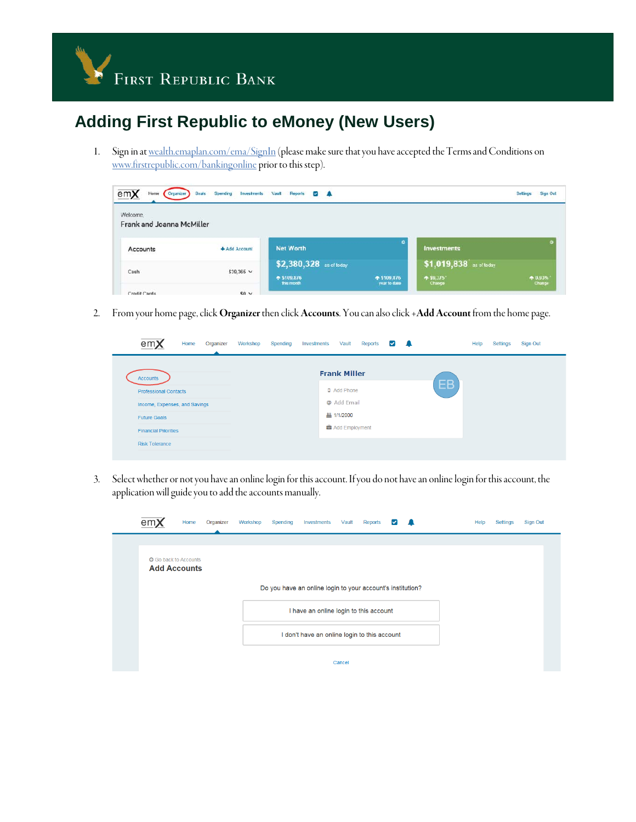

# **Adding First Republic to eMoney (New Users)**

1. Sign in a[t wealth.emaplan.com/ema/SignIn](http://wealth.emaplan.com/ema/SignIn) (please make sure that you have accepted the Terms and Conditions on [www.firstrepublic.com/bankingonline](http://www.firstrepublic.com/bankingonline) prior to this step).

| emX<br>Organizer<br>Home              | Investments<br>Spending<br>Goals | Vault<br>Reports<br>- 4<br>$\overline{\phantom{a}}$ |              |                                      | Sign Out<br><b>Settings</b> |
|---------------------------------------|----------------------------------|-----------------------------------------------------|--------------|--------------------------------------|-----------------------------|
| Welcome.<br>Frank and Joanna McMiller |                                  |                                                     |              |                                      |                             |
| Accounts                              | +Add Account                     | <b>Net Worth</b>                                    | ۰            | Investments                          |                             |
| Cash                                  | $$39.365$ V                      | \$2,380,328 as of today<br>↑ \$109,876              | ↑ \$109,376  | \$1,019,838 as of today<br>$-59,375$ | ↑ 0.93%                     |
| Credit Cards                          | $50 \times$                      | this month                                          | year to date | Change                               | Change                      |

2. From your home page, click Organizer then click Accounts. You can also click +Add Account from the home page.

| em)                           | Home | Organizer | Workshop | Spending | Investments | Vault               | Reports | $\vert \vee \vert$ | - 2 |           | Help | Settings | Sign Out |
|-------------------------------|------|-----------|----------|----------|-------------|---------------------|---------|--------------------|-----|-----------|------|----------|----------|
| <b>Accounts</b>               |      |           |          |          |             | <b>Frank Miller</b> |         |                    |     |           |      |          |          |
| <b>Professional Contacts</b>  |      |           |          |          |             | D Add Phone         |         |                    |     | <b>EB</b> |      |          |          |
| Income, Expenses, and Savings |      |           |          |          |             | @ Add Email         |         |                    |     |           |      |          |          |
| <b>Future Goals</b>           |      |           |          |          |             | <b>丛 1/1/2000</b>   |         |                    |     |           |      |          |          |
| <b>Financial Priorities</b>   |      |           |          |          |             | Add Employment      |         |                    |     |           |      |          |          |
| <b>Risk Tolerance</b>         |      |           |          |          |             |                     |         |                    |     |           |      |          |          |
|                               |      |           |          |          |             |                     |         |                    |     |           |      |          |          |

3. Select whether or not you have an online login for this account. If you do not have an online login for this account, the application will guide you to add the accounts manually.

| en                                                  | Home | Organizer | Workshop | Spending | Investments                                                | Vault  | Reports | $\overline{\mathbf{v}}$ |  | Help | Settings | Sign Out |  |
|-----------------------------------------------------|------|-----------|----------|----------|------------------------------------------------------------|--------|---------|-------------------------|--|------|----------|----------|--|
|                                                     |      |           |          |          |                                                            |        |         |                         |  |      |          |          |  |
| <b>G</b> Go back to Accounts<br><b>Add Accounts</b> |      |           |          |          |                                                            |        |         |                         |  |      |          |          |  |
|                                                     |      |           |          |          | Do you have an online login to your account's institution? |        |         |                         |  |      |          |          |  |
|                                                     |      |           |          |          | I have an online login to this account                     |        |         |                         |  |      |          |          |  |
|                                                     |      |           |          |          | I don't have an online login to this account               |        |         |                         |  |      |          |          |  |
|                                                     |      |           |          |          |                                                            | Cancel |         |                         |  |      |          |          |  |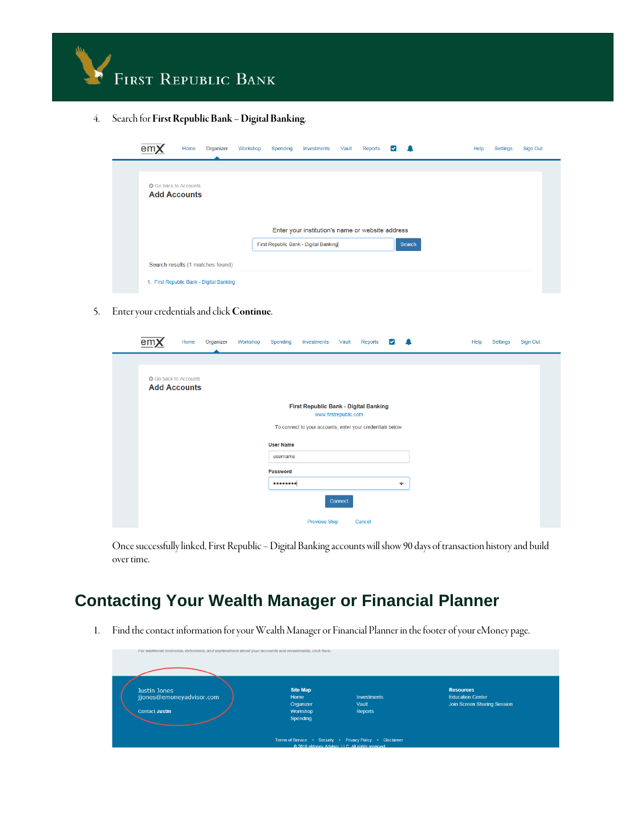

4. Search for First Republic Bank – Digital Banking.

| em)                                                 | Home | Organizer                                | Workshop | Spending | Investments                                      | Vault | Reports | M |        | Help | Settings | Sign Out |
|-----------------------------------------------------|------|------------------------------------------|----------|----------|--------------------------------------------------|-------|---------|---|--------|------|----------|----------|
| <b>G</b> Go back to Accounts<br><b>Add Accounts</b> |      |                                          |          |          | Enter your institution's name or website address |       |         |   |        |      |          |          |
|                                                     |      |                                          |          |          | First Republic Bank - Digital Banking            |       |         |   | Search |      |          |          |
|                                                     |      | Search results (1 matches found)         |          |          |                                                  |       |         |   |        |      |          |          |
|                                                     |      | 1. First Republic Bank - Digital Banking |          |          |                                                  |       |         |   |        |      |          |          |

5. Enter your credentials and click Continue.

| em;                                                 | Home | Organizer | Workshop | Spending                     | Investments                                                | Vault                 | Reports |           | Help | Settings | Sign Out |  |
|-----------------------------------------------------|------|-----------|----------|------------------------------|------------------------------------------------------------|-----------------------|---------|-----------|------|----------|----------|--|
| <b>G</b> Go back to Accounts<br><b>Add Accounts</b> |      |           |          |                              |                                                            |                       |         |           |      |          |          |  |
|                                                     |      |           |          |                              | First Republic Bank - Digital Banking                      | www.firstrepublic.com |         |           |      |          |          |  |
|                                                     |      |           |          |                              | To connect to your accounts, enter your credentials below. |                       |         |           |      |          |          |  |
|                                                     |      |           |          | <b>User Name</b><br>username |                                                            |                       |         |           |      |          |          |  |
|                                                     |      |           |          | Password                     |                                                            |                       |         |           |      |          |          |  |
|                                                     |      |           |          |                              |                                                            |                       |         | $\bullet$ |      |          |          |  |
|                                                     |      |           |          |                              |                                                            | Connect               |         |           |      |          |          |  |
|                                                     |      |           |          |                              | <b>Previous Step</b>                                       |                       | Cancel  |           |      |          |          |  |

Once successfully linked, First Republic –Digital Banking accounts will show 90 days of transaction history and build over time.

#### **Contacting Your Wealth Manager or Financial Planner**

1. Find the contact information for your Wealth Manager or Financial Planner in the footer of your eMoney page.

| For additional footnotes, definitions, and explanations about your accounts and investments, click here. |                                                              |                                                                                                                                                      |                                                                            |
|----------------------------------------------------------------------------------------------------------|--------------------------------------------------------------|------------------------------------------------------------------------------------------------------------------------------------------------------|----------------------------------------------------------------------------|
| Justin Jones<br>jjones@emoneyadvisor.com<br><b>Contact Justin</b>                                        | <b>Site Map</b><br>Home<br>Organizer<br>Workshop<br>Spending | <b>Investments</b><br>Vault<br>Reports<br>Terms of Service . Security . Privacy Policy . Disclaimer<br>@ 2018 eMoney Advisor TTC All rights reserved | <b>Resources</b><br><b>Education Center</b><br>Join Screen Sharing Session |